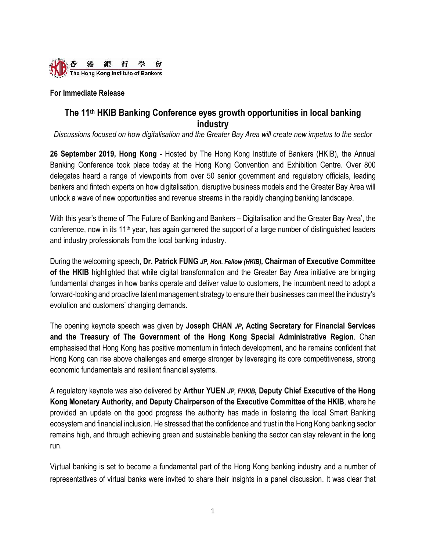

## **For Immediate Release**

# **The 11th HKIB Banking Conference eyes growth opportunities in local banking industry**

*Discussions focused on how digitalisation and the Greater Bay Area will create new impetus to the sector*

**26 September 2019, Hong Kong** - Hosted by The Hong Kong Institute of Bankers (HKIB), the Annual Banking Conference took place today at the Hong Kong Convention and Exhibition Centre. Over 800 delegates heard a range of viewpoints from over 50 senior government and regulatory officials, leading bankers and fintech experts on how digitalisation, disruptive business models and the Greater Bay Area will unlock a wave of new opportunities and revenue streams in the rapidly changing banking landscape.

With this year's theme of 'The Future of Banking and Bankers – Digitalisation and the Greater Bay Area', the conference, now in its  $11<sup>th</sup>$  year, has again garnered the support of a large number of distinguished leaders and industry professionals from the local banking industry.

During the welcoming speech, **Dr. Patrick FUNG** *JP, Hon. Fellow (HKIB),* **Chairman of Executive Committee of the HKIB** highlighted that while digital transformation and the Greater Bay Area initiative are bringing fundamental changes in how banks operate and deliver value to customers, the incumbent need to adopt a forward-looking and proactive talent management strategy to ensure their businesses can meet the industry's evolution and customers' changing demands.

The opening keynote speech was given by **Joseph CHAN** *JP***, Acting Secretary for Financial Services and the Treasury of The Government of the Hong Kong Special Administrative Region**. Chan emphasised that Hong Kong has positive momentum in fintech development, and he remains confident that Hong Kong can rise above challenges and emerge stronger by leveraging its core competitiveness, strong economic fundamentals and resilient financial systems.

A regulatory keynote was also delivered by **Arthur YUEN** *JP, FHKIB***, Deputy Chief Executive of the Hong Kong Monetary Authority, and Deputy Chairperson of the Executive Committee of the HKIB**, where he provided an update on the good progress the authority has made in fostering the local Smart Banking ecosystem and financial inclusion. He stressed that the confidence and trust in the Hong Kong banking sector remains high, and through achieving green and sustainable banking the sector can stay relevant in the long run.

Virtual banking is set to become a fundamental part of the Hong Kong banking industry and a number of representatives of virtual banks were invited to share their insights in a panel discussion. It was clear that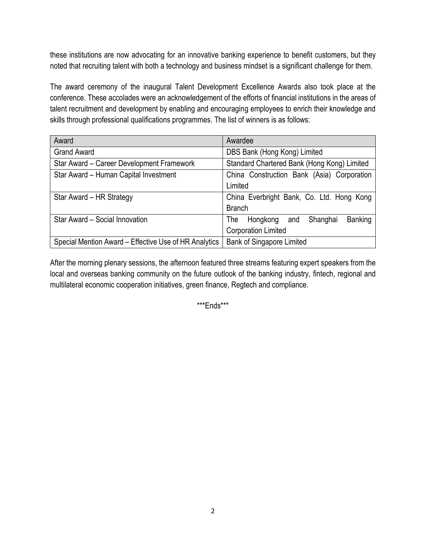these institutions are now advocating for an innovative banking experience to benefit customers, but they noted that recruiting talent with both a technology and business mindset is a significant challenge for them.

The award ceremony of the inaugural Talent Development Excellence Awards also took place at the conference. These accolades were an acknowledgement of the efforts of financial institutions in the areas of talent recruitment and development by enabling and encouraging employees to enrich their knowledge and skills through professional qualifications programmes. The list of winners is as follows:

| Award                                                 | Awardee                                       |
|-------------------------------------------------------|-----------------------------------------------|
| <b>Grand Award</b>                                    | DBS Bank (Hong Kong) Limited                  |
| Star Award - Career Development Framework             | Standard Chartered Bank (Hong Kong) Limited   |
| Star Award - Human Capital Investment                 | China Construction Bank (Asia) Corporation    |
|                                                       | Limited                                       |
| Star Award - HR Strategy                              | China Everbright Bank, Co. Ltd. Hong Kong     |
|                                                       | <b>Branch</b>                                 |
| Star Award - Social Innovation                        | Banking<br>Shanghai<br>Hongkong<br>The<br>and |
|                                                       | <b>Corporation Limited</b>                    |
| Special Mention Award - Effective Use of HR Analytics | <b>Bank of Singapore Limited</b>              |

After the morning plenary sessions, the afternoon featured three streams featuring expert speakers from the local and overseas banking community on the future outlook of the banking industry, fintech, regional and multilateral economic cooperation initiatives, green finance, Regtech and compliance.

\*\*\*Ends\*\*\*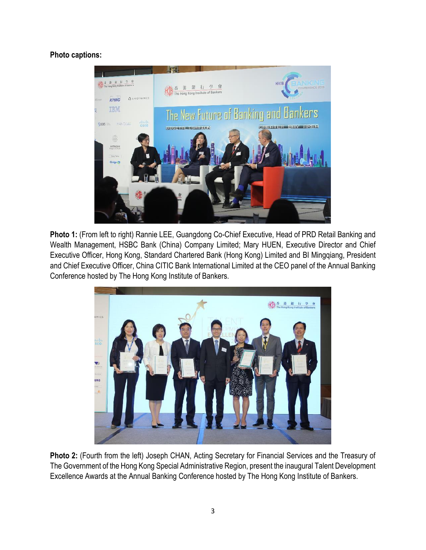**Photo captions:**



**Photo 1:** (From left to right) Rannie LEE, Guangdong Co-Chief Executive, Head of PRD Retail Banking and Wealth Management, HSBC Bank (China) Company Limited; Mary HUEN, Executive Director and Chief Executive Officer, Hong Kong, Standard Chartered Bank (Hong Kong) Limited and BI Mingqiang, President and Chief Executive Officer, China CITIC Bank International Limited at the CEO panel of the Annual Banking Conference hosted by The Hong Kong Institute of Bankers.



**Photo 2:** (Fourth from the left) Joseph CHAN, Acting Secretary for Financial Services and the Treasury of The Government of the Hong Kong Special Administrative Region, present the inaugural Talent Development Excellence Awards at the Annual Banking Conference hosted by The Hong Kong Institute of Bankers.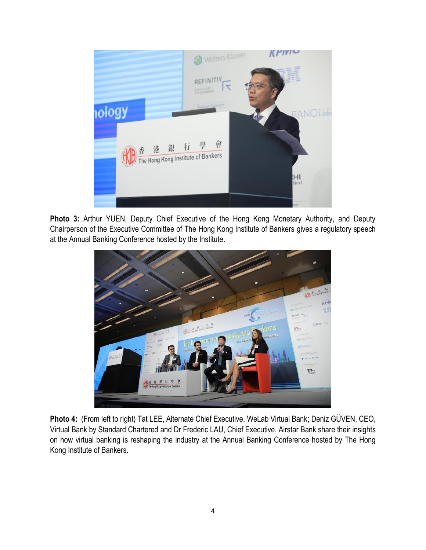

**Photo 3:** Arthur YUEN, Deputy Chief Executive of the Hong Kong Monetary Authority, and Deputy Chairperson of the Executive Committee of The Hong Kong Institute of Bankers gives a regulatory speech at the Annual Banking Conference hosted by the Institute.



**Photo 4:** (From left to right) Tat LEE, Alternate Chief Executive, WeLab Virtual Bank; Deniz GÜVEN, CEO, Virtual Bank by Standard Chartered and Dr Frederic LAU, Chief Executive, Airstar Bank share their insights on how virtual banking is reshaping the industry at the Annual Banking Conference hosted by The Hong Kong Institute of Bankers.